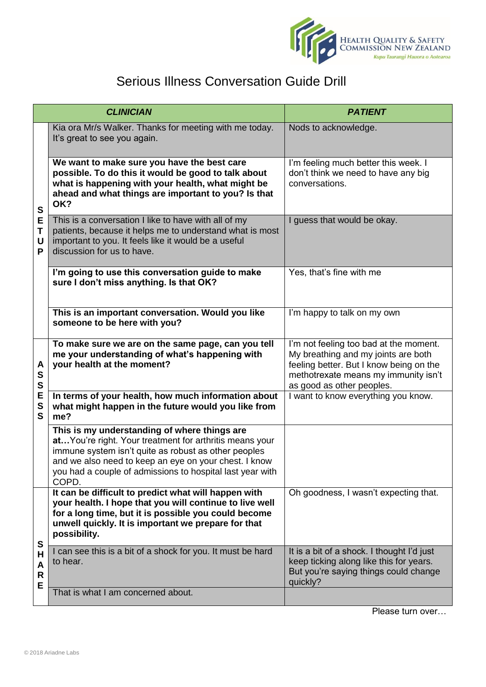

## Serious Illness Conversation Guide Drill

| <b>CLINICIAN</b>           |                                                                                                                                                                                                                                                                                                 | <b>PATIENT</b>                                                                                                                                                                                |
|----------------------------|-------------------------------------------------------------------------------------------------------------------------------------------------------------------------------------------------------------------------------------------------------------------------------------------------|-----------------------------------------------------------------------------------------------------------------------------------------------------------------------------------------------|
| S<br>Е<br>Τ<br>U<br>P      | Kia ora Mr/s Walker. Thanks for meeting with me today.<br>It's great to see you again.                                                                                                                                                                                                          | Nods to acknowledge.                                                                                                                                                                          |
|                            | We want to make sure you have the best care<br>possible. To do this it would be good to talk about<br>what is happening with your health, what might be<br>ahead and what things are important to you? Is that<br>OK?                                                                           | I'm feeling much better this week. I<br>don't think we need to have any big<br>conversations.                                                                                                 |
|                            | This is a conversation I like to have with all of my<br>patients, because it helps me to understand what is most<br>important to you. It feels like it would be a useful<br>discussion for us to have.                                                                                          | I guess that would be okay.                                                                                                                                                                   |
|                            | I'm going to use this conversation guide to make<br>sure I don't miss anything. Is that OK?                                                                                                                                                                                                     | Yes, that's fine with me                                                                                                                                                                      |
|                            | This is an important conversation. Would you like<br>someone to be here with you?                                                                                                                                                                                                               | I'm happy to talk on my own                                                                                                                                                                   |
| A<br>S<br>S<br>E<br>S<br>S | To make sure we are on the same page, can you tell<br>me your understanding of what's happening with<br>your health at the moment?                                                                                                                                                              | I'm not feeling too bad at the moment.<br>My breathing and my joints are both<br>feeling better. But I know being on the<br>methotrexate means my immunity isn't<br>as good as other peoples. |
|                            | In terms of your health, how much information about<br>what might happen in the future would you like from<br>me?                                                                                                                                                                               | I want to know everything you know.                                                                                                                                                           |
|                            | This is my understanding of where things are<br>at You're right. Your treatment for arthritis means your<br>immune system isn't quite as robust as other peoples<br>and we also need to keep an eye on your chest. I know<br>you had a couple of admissions to hospital last year with<br>COPD. |                                                                                                                                                                                               |
| S<br>Н<br>A<br>R<br>E      | It can be difficult to predict what will happen with<br>your health. I hope that you will continue to live well<br>for a long time, but it is possible you could become<br>unwell quickly. It is important we prepare for that<br>possibility.                                                  | Oh goodness, I wasn't expecting that.                                                                                                                                                         |
|                            | I can see this is a bit of a shock for you. It must be hard<br>to hear.                                                                                                                                                                                                                         | It is a bit of a shock. I thought I'd just<br>keep ticking along like this for years.<br>But you're saying things could change<br>quickly?                                                    |
|                            | That is what I am concerned about.                                                                                                                                                                                                                                                              |                                                                                                                                                                                               |

Please turn over…